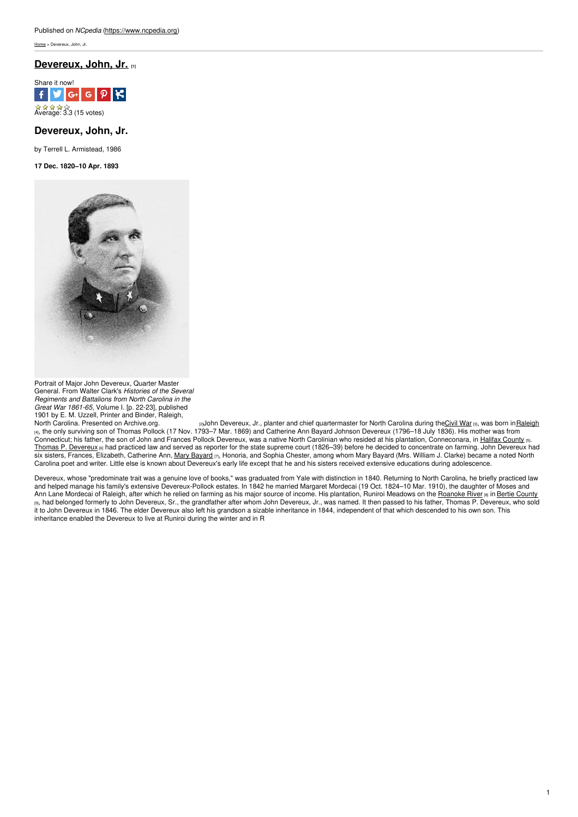[Home](https://www.ncpedia.org/) > Devereux, John, Jr.

## **[Devereux,](https://www.ncpedia.org/biography/devereux-john-jr) John, Jr. [1]**



# **Devereux, John, Jr.**

by Terrell L. Armistead, 1986

**17 Dec. 1820–10 Apr. 1893**



Portrait of Major John Devereux, Quarter Master General. From Walter Clark's *Histories of the Several Regiments and Battalions from North Carolina in the Great War 1861-65*, Volume I. [p. 22-23], published 1901 by E. M. Uzzell, Printer and Binder, Raleigh,

North Carolina. Presented on [Archive.org.](https://archive.org/stream/cu31924092908536#page/n45/mode/2up) www.paylohn Devereux, Jr., planter and chief quartermaster for North Carolina during the<u>[Civil](https://ncpedia.org/history/cw-1900/civil-war) War</u> <sub>[3]</sub>, was born in<u>[Raleigh](https://ncpedia.org/geography/raleigh)</u> [4], the only surviving son of Thomas Pollock (17 Nov. 1793–7 Mar. 1869) and Catherine Ann Bayard Johnson Devereux (1796–18 July 1836). His mother was from Connecticut; his father, the son of John and Frances Pollock Devereux, was a native North Carolinian who resided at his plantation, Conneconara, in Halifax [County](https://www.ncpedia.org/geography/halifax) [5]. Thomas P. [Devereux](https://www.ncpedia.org/biography/devereux-thomas-pollock) [6] had practiced law and served as reporter for the state supreme court (1826–39) before he decided to concentrate on farming. John Devereux had six sisters, Frances, Elizabeth, Catherine Ann, Mary [Bayard](https://www.ncpedia.org/biography/clarke-mary) [7], Honoria, and Sophia Chester, among whom Mary Bayard (Mrs. William J. Clarke) became a noted North Carolina poet and writer. Little else is known about Devereux's early life except that he and his sisters received extensive educations during adolescence.

Devereux, whose "predominate trait was a genuine love of books," was graduated from Yale with distinction in 1840. Returning to North Carolina, he briefly practiced law and helped manage his family's extensive Devereux-Pollock estates. In 1842 he married Margaret Mordecai (19 Oct. 1824–10 Mar. 1910), the daughter of Moses and Ann Lane Mordecai of Raleigh, after which he relied on farming as his major source of income. His plantation, Runiroi Meadows on the [Roanoke](https://www.ncpedia.org/rivers/roanoke) River [8] in Bertie [County](https://www.ncpedia.org/geography/bertie) [9], had belonged formerly to John Devereux, Sr., the grandfather after whom John Devereux, Jr., was named. It then passed to his father, Thomas P. Devereux, who sold it to John Devereux in 1846. The elder Devereux also left his grandson a sizable inheritance in 1844, independent of that which descended to his own son. This inheritance enabled the Devereux to live at Runiroi during the winter and in R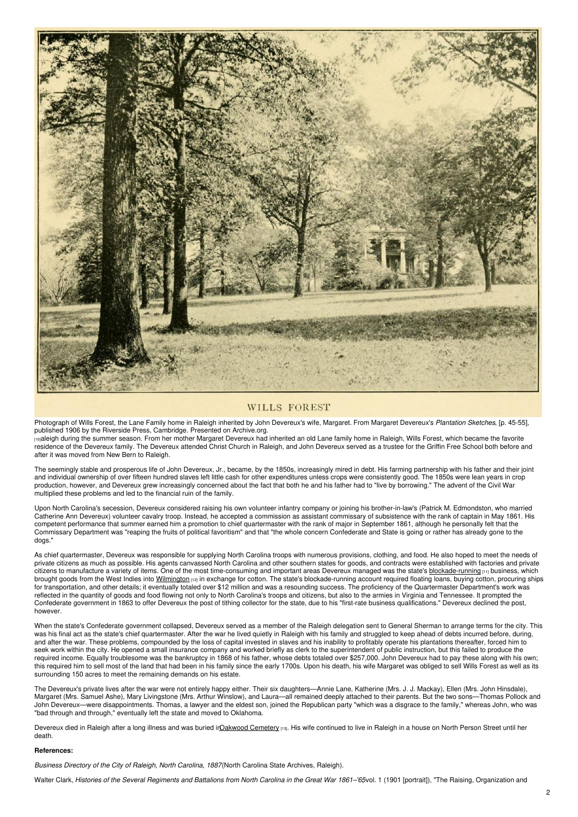

### **WILLS FOREST**

Photograph of Wills Forest, the Lane Family home in Raleigh inherited by John Devereux's wife, Margaret. From Margaret Devereux's *Plantation Sketches*, [p. 45-55], published 1906 by the Riverside Press, Cambridge. Presented on [Archive.org.](https://archive.org/stream/plantationsketch00deve#page/54/mode/2up)

[10]aleigh during the summer season. From her mother Margaret Devereux had inherited an old Lane family home in Raleigh, Wills Forest, which became the favorite residence of the Devereux family. The Devereux attended Christ Church in Raleigh, and John Devereux served as a trustee for the Griffin Free School both before and after it was moved from New Bern to Raleigh.

The seemingly stable and prosperous life of John Devereux, Jr., became, by the 1850s, increasingly mired in debt. His farming partnership with his father and their joint and individual ownership of over fifteen hundred slaves left little cash for other expenditures unless crops were consistently good. The 1850s were lean years in crop production, however, and Devereux grew increasingly concerned about the fact that both he and his father had to "live by borrowing." The advent of the Civil War multiplied these problems and led to the financial ruin of the family.

Upon North Carolina's secession, Devereux considered raising his own volunteer infantry company or joining his brother-in-law's (Patrick M. Edmondston, who married Catherine Ann Devereux) volunteer cavalry troop. Instead, he accepted a commission as assistant commissary of subsistence with the rank of captain in May 1861. His competent performance that summer earned him a promotion to chief quartermaster with the rank of major in September 1861, although he personally felt that the Commissary Department was "reaping the fruits of political favoritism" and that "the whole concern Confederate and State is going or rather has already gone to the dogs."

As chief quartermaster, Devereux was responsible for supplying North Carolina troops with numerous provisions, clothing, and food. He also hoped to meet the needs of private citizens as much as possible. His agents canvassed North Carolina and other southern states for goods, and contracts were established with factories and private citizens to manufacture a variety of items. One of the most time-consuming and important areas Devereux managed was the state's [blockade-running](https://www.ncpedia.org/blockade-running) [11] business, which brought goods from the West Indies into [Wilmington](https://ncpedia.org/wilmington) [12] in exchange for cotton. The state's blockade-running account required floating loans, buying cotton, procuring ships for transportation, and other details; it eventually totaled over \$12 million and was a resounding success. The proficiency of the Quartermaster Department's work was reflected in the quantity of goods and food flowing not only to North Carolina's troops and citizens, but also to the armies in Virginia and Tennessee. It prompted the Confederate government in 1863 to offer Devereux the post of tithing collector for the state, due to his "first-rate business qualifications." Devereux declined the post, however.

When the state's Confederate government collapsed, Devereux served as a member of the Raleigh delegation sent to General Sherman to arrange terms for the city. This was his final act as the state's chief quartermaster. After the war he lived quietly in Raleigh with his family and struggled to keep ahead of debts incurred before, during, and after the war. These problems, compounded by the loss of capital invested in slaves and his inability to profitably operate his plantations thereafter, forced him to seek work within the city. He opened a small insurance company and worked briefly as clerk to the superintendent of public instruction, but this failed to produce the required income. Equally troublesome was the bankruptcy in 1868 of his father, whose debts totaled over \$257,000. John Devereux had to pay these along with his own; this required him to sell most of the land that had been in his family since the early 1700s. Upon his death, his wife Margaret was obliged to sell Wills Forest as well as its surrounding 150 acres to meet the remaining demands on his estate.

The Devereux's private lives after the war were not entirely happy either. Their six daughters—Annie Lane, Katherine (Mrs. J. J. Mackay), Ellen (Mrs. John Hinsdale), Margaret (Mrs. Samuel Ashe), Mary Livingstone (Mrs. Arthur Winslow), and Laura—all remained deeply attached to their parents. But the two sons—Thomas Pollock and John Devereux—were disappointments. Thomas, a lawyer and the eldest son, joined the Republican party "which was a disgrace to the family," whereas John, who was "bad through and through," eventually left the state and moved to Oklahoma.

Devereux died in Raleigh after a long illness and was buried ir Oakwood Cemetery [13]. His wife continued to live in Raleigh in a house on North Person Street until her death.

#### **References:**

*Business Directory of the City of Raleigh, North Carolina, 1887*(North Carolina State Archives, Raleigh).

Walter Clark, Histories of the Several Regiments and Battalions from North Carolina in the Great War 1861-'65vol. 1 (1901 [portrait]), "The Raising, Organization and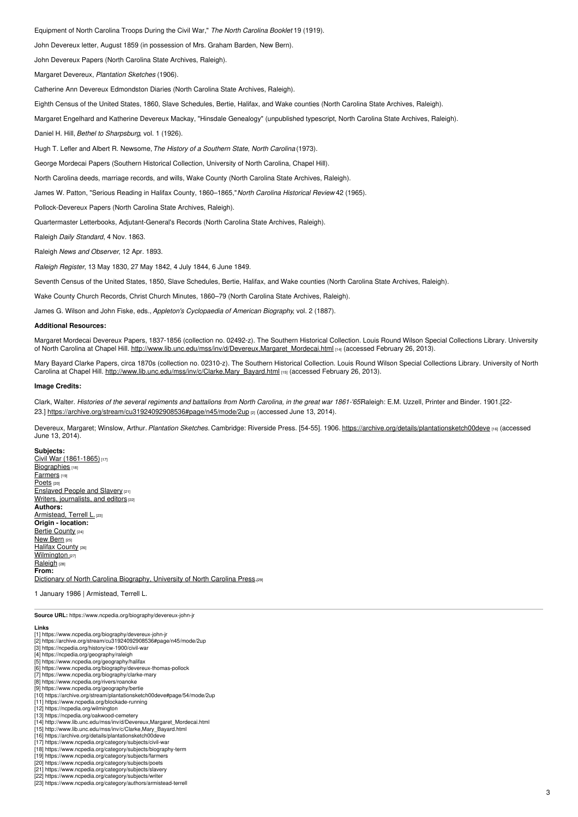Equipment of North Carolina Troops During the Civil War," *The North Carolina Booklet* 19 (1919).

John Devereux letter, August 1859 (in possession of Mrs. Graham Barden, New Bern).

John Devereux Papers (North Carolina State Archives, Raleigh).

Margaret Devereux, *Plantation Sketches* (1906).

Catherine Ann Devereux Edmondston Diaries (North Carolina State Archives, Raleigh).

Eighth Census of the United States, 1860, Slave Schedules, Bertie, Halifax, and Wake counties (North Carolina State Archives, Raleigh).

Margaret Engelhard and Katherine Devereux Mackay, "Hinsdale Genealogy" (unpublished typescript, North Carolina State Archives, Raleigh).

Daniel H. Hill, *Bethel to Sharpsburg*, vol. 1 (1926).

Hugh T. Lefler and Albert R. Newsome,*The History of a Southern State, North Carolina* (1973).

George Mordecai Papers (Southern Historical Collection, University of North Carolina, Chapel Hill).

North Carolina deeds, marriage records, and wills, Wake County (North Carolina State Archives, Raleigh).

James W. Patton, "Serious Reading in Halifax County, 1860–1865,"*North Carolina Historical Review* 42 (1965).

Pollock-Devereux Papers (North Carolina State Archives, Raleigh).

Quartermaster Letterbooks, Adjutant-General's Records (North Carolina State Archives, Raleigh).

Raleigh *Daily Standard*, 4 Nov. 1863.

Raleigh *News and Observer*, 12 Apr. 1893.

*Raleigh Register*, 13 May 1830, 27 May 1842, 4 July 1844, 6 June 1849.

Seventh Census of the United States, 1850, Slave Schedules, Bertie, Halifax, and Wake counties (North Carolina State Archives, Raleigh).

Wake County Church Records, Christ Church Minutes, 1860–79 (North Carolina State Archives, Raleigh).

James G. Wilson and John Fiske, eds., *Appleton's Cyclopaedia of American Biography*, vol. 2 (1887).

#### **Additional Resources:**

Margaret Mordecai Devereux Papers, 1837-1856 (collection no. 02492-z). The Southern Historical Collection. Louis Round Wilson Special Collections Library. University of North Carolina at Chapel Hill. [http://www.lib.unc.edu/mss/inv/d/Devereux,Margaret\\_Mordecai.html](http://www.lib.unc.edu/mss/inv/d/Devereux,Margaret_Mordecai.html) [14] (accessed February 26, 2013).

Mary Bayard Clarke Papers, circa 1870s (collection no. 02310-z). The Southern Historical Collection. Louis Round Wilson Special Collections Library. University of North Carolina at Chapel Hill. [http://www.lib.unc.edu/mss/inv/c/Clarke,Mary\\_Bayard.htm](http://www.lib.unc.edu/mss/inv/c/Clarke,Mary_Bayard.html)l [15] (accessed February 26, 2013).

#### **Image Credits:**

Clark, Walter. Histories of the several regiments and battalions from North Carolina, in the great war 1861-'65Raleigh: E.M. Uzzell, Printer and Binder. 1901.[2223.] <https://archive.org/stream/cu31924092908536#page/n45/mode/2up> [2] (accessed June 13, 2014).

Devereux, Margaret; Winslow, Arthur.*Plantation Sketches.* Cambridge: Riverside Press. [54-55]. 1906. <https://archive.org/details/plantationsketch00deve> [16] (accessed June 13, 2014).

**Subjects:** Civil War [\(1861-1865\)](https://www.ncpedia.org/category/subjects/civil-war)<sup>[17]</sup> [Biographies](https://www.ncpedia.org/category/subjects/biography-term) [18] [Farmers](https://www.ncpedia.org/category/subjects/farmers) [19] [Poets](https://www.ncpedia.org/category/subjects/poets)<sub>[20]</sub> **[Enslaved](https://www.ncpedia.org/category/subjects/slavery) People and Slavery [21]** Writers, [journalists,](https://www.ncpedia.org/category/subjects/writer) and editors [22] **Authors:** [Armistead,](https://www.ncpedia.org/category/authors/armistead-terrell) Terrell L. [23] **Origin - location:** Bertie [County](https://www.ncpedia.org/category/origin-location/coastal-29) [24] [New](https://www.ncpedia.org/category/origin-location/coastal-41) Bern [25] Halifax [County](https://www.ncpedia.org/category/origin-location/coastal-30) [26] [Wilmington](https://www.ncpedia.org/category/origin-location/coastal-39) [27] [Raleigh](https://www.ncpedia.org/category/origin-location/piedmont-0) <sub>[28]</sub> **From:** Dictionary of North Carolina [Biography,](https://www.ncpedia.org/category/entry-source/dictionary-no) University of North Carolina Press.[29]

1 January 1986 | Armistead, Terrell L.

**Source URL:** https://www.ncpedia.org/biography/devereux-john-jr

- **Links**
- [1] https://www.ncpedia.org/biography/devereux-john-jr [2] https://archive.org/stream/cu31924092908536#page/n45/mode/2up
- [3] https://ncpedia.org/history/cw-1900/civil-war
- 
- [4] https://ncpedia.org/geography/raleigh [5] https://www.ncpedia.org/geography/halifax
- [6] https://www.ncpedia.org/biography/devereux-thomas-pollock
- [7] https://www.ncpedia.org/biography/clarke-mary
- [8] https://www.ncpedia.org/rivers/roanoke
- [9] https://www.ncpedia.org/geography/bertie [10] https://archive.org/stream/plantationsketch00deve#page/54/mode/2up
- [11] https://www.ncpedia.org/blockade-running
- [12] https://ncpedia.org/wilmington
- [13] https://ncpedia.org/oakwood-cemetery [14] http://www.lib.unc.edu/mss/inv/d/Devereux,Margaret\_Mordecai.html
- [15] http://www.lib.unc.edu/mss/inv/c/Clarke,Mary\_Bayard.html
- [16] https://archive.org/details/plantationsketch00deve
- [17] https://www.ncpedia.org/category/subjects/civil-war
- [18] https://www.ncpedia.org/category/subjects/biography-term
- [19] https://www.ncpedia.org/category/subjects/farmers [20] https://www.ncpedia.org/category/subjects/poets
- [21] https://www.ncpedia.org/category/subjects/slavery
- [22] https://www.ncpedia.org/category/subjects/writer
- [23] https://www.ncpedia.org/category/authors/armistead-terrell